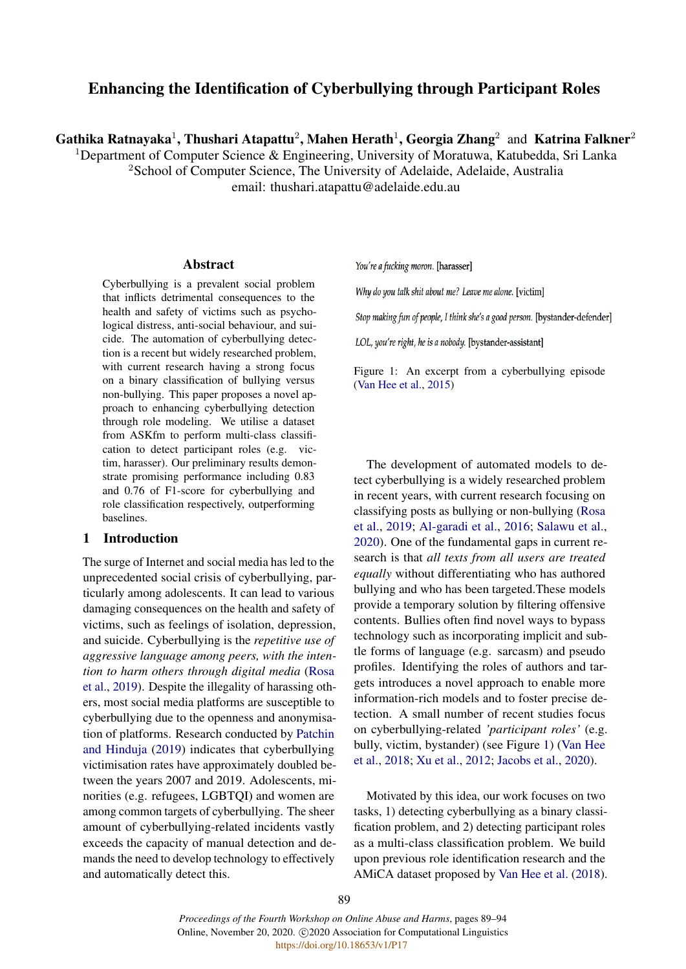# Enhancing the Identification of Cyberbullying through Participant Roles

Gathika Ratnayaka<sup>1</sup>, Thushari Atapattu<sup>2</sup>, Mahen Herath<sup>1</sup>, Georgia Zhang<sup>2</sup> and Katrina Falkner<sup>2</sup>

<sup>1</sup>Department of Computer Science & Engineering, University of Moratuwa, Katubedda, Sri Lanka <sup>2</sup>School of Computer Science, The University of Adelaide, Adelaide, Australia

email: thushari.atapattu@adelaide.edu.au

### Abstract

Cyberbullying is a prevalent social problem that inflicts detrimental consequences to the health and safety of victims such as psychological distress, anti-social behaviour, and suicide. The automation of cyberbullying detection is a recent but widely researched problem, with current research having a strong focus on a binary classification of bullying versus non-bullying. This paper proposes a novel approach to enhancing cyberbullying detection through role modeling. We utilise a dataset from ASKfm to perform multi-class classification to detect participant roles (e.g. victim, harasser). Our preliminary results demonstrate promising performance including 0.83 and 0.76 of F1-score for cyberbullying and role classification respectively, outperforming baselines.

# 1 Introduction

The surge of Internet and social media has led to the unprecedented social crisis of cyberbullying, particularly among adolescents. It can lead to various damaging consequences on the health and safety of victims, such as feelings of isolation, depression, and suicide. Cyberbullying is the *repetitive use of aggressive language among peers, with the intention to harm others through digital media* [\(Rosa](#page-5-0) [et al.,](#page-5-0) [2019\)](#page-5-0). Despite the illegality of harassing others, most social media platforms are susceptible to cyberbullying due to the openness and anonymisation of platforms. Research conducted by [Patchin](#page-5-1) [and Hinduja](#page-5-1) [\(2019\)](#page-5-1) indicates that cyberbullying victimisation rates have approximately doubled between the years 2007 and 2019. Adolescents, minorities (e.g. refugees, LGBTQI) and women are among common targets of cyberbullying. The sheer amount of cyberbullying-related incidents vastly exceeds the capacity of manual detection and demands the need to develop technology to effectively and automatically detect this.

<span id="page-0-0"></span>You're a fucking moron. [harasser]

Why do you talk shit about me? Leave me alone. [victim]

Stop making fun of people, I think she's a good person. [bystander-defender]

LOL, you're right, he is a nobody. [bystander-assistant]

Figure 1: An excerpt from a cyberbullying episode [\(Van Hee et al.,](#page-5-2) [2015\)](#page-5-2)

The development of automated models to detect cyberbullying is a widely researched problem in recent years, with current research focusing on classifying posts as bullying or non-bullying [\(Rosa](#page-5-0) [et al.,](#page-5-0) [2019;](#page-5-0) [Al-garadi et al.,](#page-5-3) [2016;](#page-5-3) [Salawu et al.,](#page-5-4) [2020\)](#page-5-4). One of the fundamental gaps in current research is that *all texts from all users are treated equally* without differentiating who has authored bullying and who has been targeted.These models provide a temporary solution by filtering offensive contents. Bullies often find novel ways to bypass technology such as incorporating implicit and subtle forms of language (e.g. sarcasm) and pseudo profiles. Identifying the roles of authors and targets introduces a novel approach to enable more information-rich models and to foster precise detection. A small number of recent studies focus on cyberbullying-related *'participant roles'* (e.g. bully, victim, bystander) (see Figure [1\)](#page-0-0) [\(Van Hee](#page-5-5) [et al.,](#page-5-5) [2018;](#page-5-5) [Xu et al.,](#page-5-6) [2012;](#page-5-6) [Jacobs et al.,](#page-5-7) [2020\)](#page-5-7).

Motivated by this idea, our work focuses on two tasks, 1) detecting cyberbullying as a binary classification problem, and 2) detecting participant roles as a multi-class classification problem. We build upon previous role identification research and the AMiCA dataset proposed by [Van Hee et al.](#page-5-5) [\(2018\)](#page-5-5).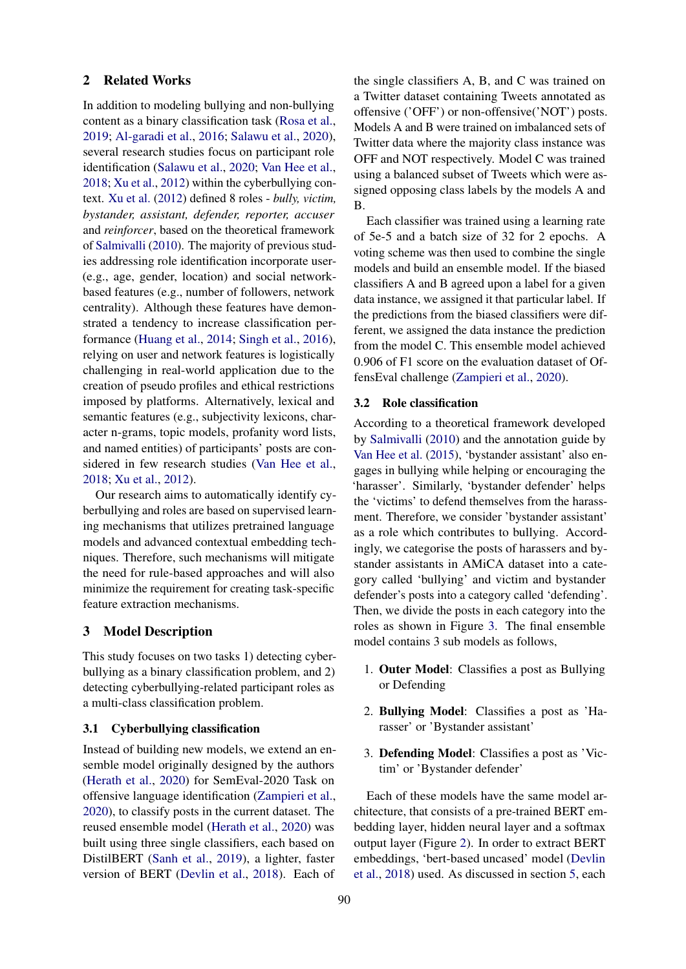## 2 Related Works

In addition to modeling bullying and non-bullying content as a binary classification task [\(Rosa et al.,](#page-5-0) [2019;](#page-5-0) [Al-garadi et al.,](#page-5-3) [2016;](#page-5-3) [Salawu et al.,](#page-5-4) [2020\)](#page-5-4), several research studies focus on participant role identification [\(Salawu et al.,](#page-5-4) [2020;](#page-5-4) [Van Hee et al.,](#page-5-5) [2018;](#page-5-5) [Xu et al.,](#page-5-6) [2012\)](#page-5-6) within the cyberbullying context. [Xu et al.](#page-5-6) [\(2012\)](#page-5-6) defined 8 roles - *bully, victim, bystander, assistant, defender, reporter, accuser* and *reinforcer*, based on the theoretical framework of [Salmivalli](#page-5-8) [\(2010\)](#page-5-8). The majority of previous studies addressing role identification incorporate user- (e.g., age, gender, location) and social networkbased features (e.g., number of followers, network centrality). Although these features have demonstrated a tendency to increase classification performance [\(Huang et al.,](#page-5-9) [2014;](#page-5-9) [Singh et al.,](#page-5-10) [2016\)](#page-5-10), relying on user and network features is logistically challenging in real-world application due to the creation of pseudo profiles and ethical restrictions imposed by platforms. Alternatively, lexical and semantic features (e.g., subjectivity lexicons, character n-grams, topic models, profanity word lists, and named entities) of participants' posts are considered in few research studies [\(Van Hee et al.,](#page-5-5) [2018;](#page-5-5) [Xu et al.,](#page-5-6) [2012\)](#page-5-6).

Our research aims to automatically identify cyberbullying and roles are based on supervised learning mechanisms that utilizes pretrained language models and advanced contextual embedding techniques. Therefore, such mechanisms will mitigate the need for rule-based approaches and will also minimize the requirement for creating task-specific feature extraction mechanisms.

# 3 Model Description

This study focuses on two tasks 1) detecting cyberbullying as a binary classification problem, and 2) detecting cyberbullying-related participant roles as a multi-class classification problem.

#### <span id="page-1-0"></span>3.1 Cyberbullying classification

Instead of building new models, we extend an ensemble model originally designed by the authors [\(Herath et al.,](#page-5-11) [2020\)](#page-5-11) for SemEval-2020 Task on offensive language identification [\(Zampieri et al.,](#page-5-12) [2020\)](#page-5-12), to classify posts in the current dataset. The reused ensemble model [\(Herath et al.,](#page-5-11) [2020\)](#page-5-11) was built using three single classifiers, each based on DistilBERT [\(Sanh et al.,](#page-5-13) [2019\)](#page-5-13), a lighter, faster version of BERT [\(Devlin et al.,](#page-5-14) [2018\)](#page-5-14). Each of the single classifiers A, B, and C was trained on a Twitter dataset containing Tweets annotated as offensive ('OFF') or non-offensive('NOT') posts. Models A and B were trained on imbalanced sets of Twitter data where the majority class instance was OFF and NOT respectively. Model C was trained using a balanced subset of Tweets which were assigned opposing class labels by the models A and B.

Each classifier was trained using a learning rate of 5e-5 and a batch size of 32 for 2 epochs. A voting scheme was then used to combine the single models and build an ensemble model. If the biased classifiers A and B agreed upon a label for a given data instance, we assigned it that particular label. If the predictions from the biased classifiers were different, we assigned the data instance the prediction from the model C. This ensemble model achieved 0.906 of F1 score on the evaluation dataset of OffensEval challenge [\(Zampieri et al.,](#page-5-12) [2020\)](#page-5-12).

#### <span id="page-1-1"></span>3.2 Role classification

According to a theoretical framework developed by [Salmivalli](#page-5-8) [\(2010\)](#page-5-8) and the annotation guide by [Van Hee et al.](#page-5-2) [\(2015\)](#page-5-2), 'bystander assistant' also engages in bullying while helping or encouraging the 'harasser'. Similarly, 'bystander defender' helps the 'victims' to defend themselves from the harassment. Therefore, we consider 'bystander assistant' as a role which contributes to bullying. Accordingly, we categorise the posts of harassers and bystander assistants in AMiCA dataset into a category called 'bullying' and victim and bystander defender's posts into a category called 'defending'. Then, we divide the posts in each category into the roles as shown in Figure [3.](#page-2-0) The final ensemble model contains 3 sub models as follows,

- 1. Outer Model: Classifies a post as Bullying or Defending
- 2. Bullying Model: Classifies a post as 'Harasser' or 'Bystander assistant'
- 3. Defending Model: Classifies a post as 'Victim' or 'Bystander defender'

Each of these models have the same model architecture, that consists of a pre-trained BERT embedding layer, hidden neural layer and a softmax output layer (Figure [2\)](#page-2-1). In order to extract BERT embeddings, 'bert-based uncased' model [\(Devlin](#page-5-14) [et al.,](#page-5-14) [2018\)](#page-5-14) used. As discussed in section [5,](#page-3-0) each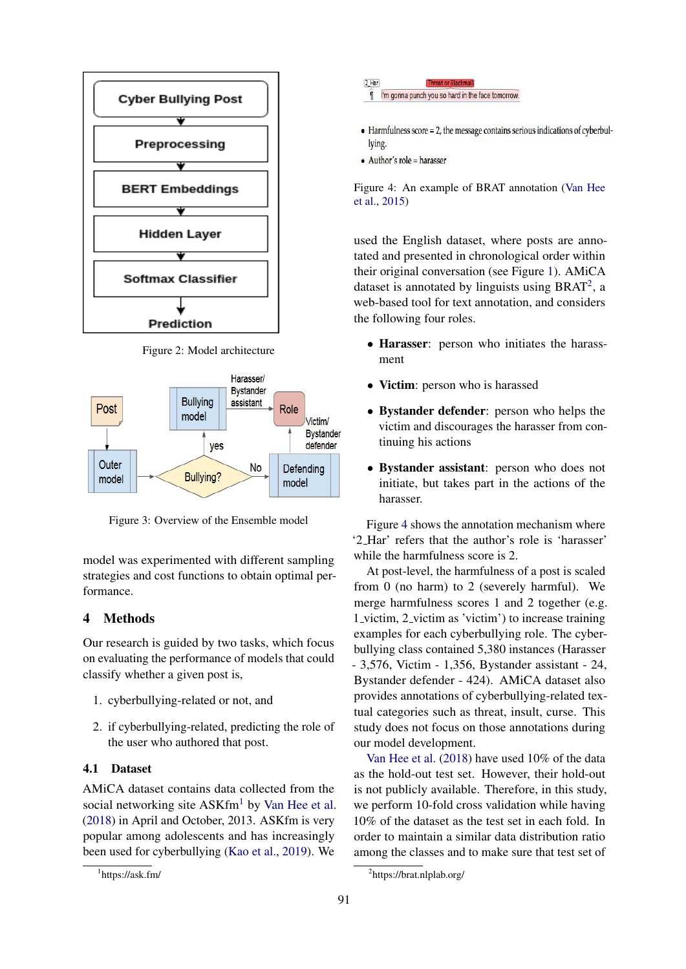<span id="page-2-1"></span>

Figure 2: Model architecture

<span id="page-2-0"></span>

Figure 3: Overview of the Ensemble model

model was experimented with different sampling strategies and cost functions to obtain optimal performance.

# 4 Methods

Our research is guided by two tasks, which focus on evaluating the performance of models that could classify whether a given post is,

- 1. cyberbullying-related or not, and
- 2. if cyberbullying-related, predicting the role of the user who authored that post.

# 4.1 Dataset

AMiCA dataset contains data collected from the social networking site  $ASKfm<sup>1</sup>$  $ASKfm<sup>1</sup>$  $ASKfm<sup>1</sup>$  by [Van Hee et al.](#page-5-5) [\(2018\)](#page-5-5) in April and October, 2013. ASKfm is very popular among adolescents and has increasingly been used for cyberbullying [\(Kao et al.,](#page-5-15) [2019\)](#page-5-15). We

<span id="page-2-4"></span>

- $\bullet$  Harmfulness score = 2, the message contains serious indications of cyberbullying.
- $\bullet$  Author's role = harasser

Figure 4: An example of BRAT annotation [\(Van Hee](#page-5-2) [et al.,](#page-5-2) [2015\)](#page-5-2)

used the English dataset, where posts are annotated and presented in chronological order within their original conversation (see Figure [1\)](#page-0-0). AMiCA dataset is annotated by linguists using BRAT<sup>[2](#page-2-3)</sup>, a web-based tool for text annotation, and considers the following four roles.

- Harasser: person who initiates the harassment
- Victim: person who is harassed
- Bystander defender: person who helps the victim and discourages the harasser from continuing his actions
- Bystander assistant: person who does not initiate, but takes part in the actions of the harasser.

Figure [4](#page-2-4) shows the annotation mechanism where '2 Har' refers that the author's role is 'harasser' while the harmfulness score is 2.

At post-level, the harmfulness of a post is scaled from 0 (no harm) to 2 (severely harmful). We merge harmfulness scores 1 and 2 together (e.g. 1 victim, 2 victim as 'victim') to increase training examples for each cyberbullying role. The cyberbullying class contained 5,380 instances (Harasser - 3,576, Victim - 1,356, Bystander assistant - 24, Bystander defender - 424). AMiCA dataset also provides annotations of cyberbullying-related textual categories such as threat, insult, curse. This study does not focus on those annotations during our model development.

[Van Hee et al.](#page-5-5) [\(2018\)](#page-5-5) have used 10% of the data as the hold-out test set. However, their hold-out is not publicly available. Therefore, in this study, we perform 10-fold cross validation while having 10% of the dataset as the test set in each fold. In order to maintain a similar data distribution ratio among the classes and to make sure that test set of

<span id="page-2-2"></span><sup>1</sup> https://ask.fm/

<span id="page-2-3"></span><sup>2</sup> https://brat.nlplab.org/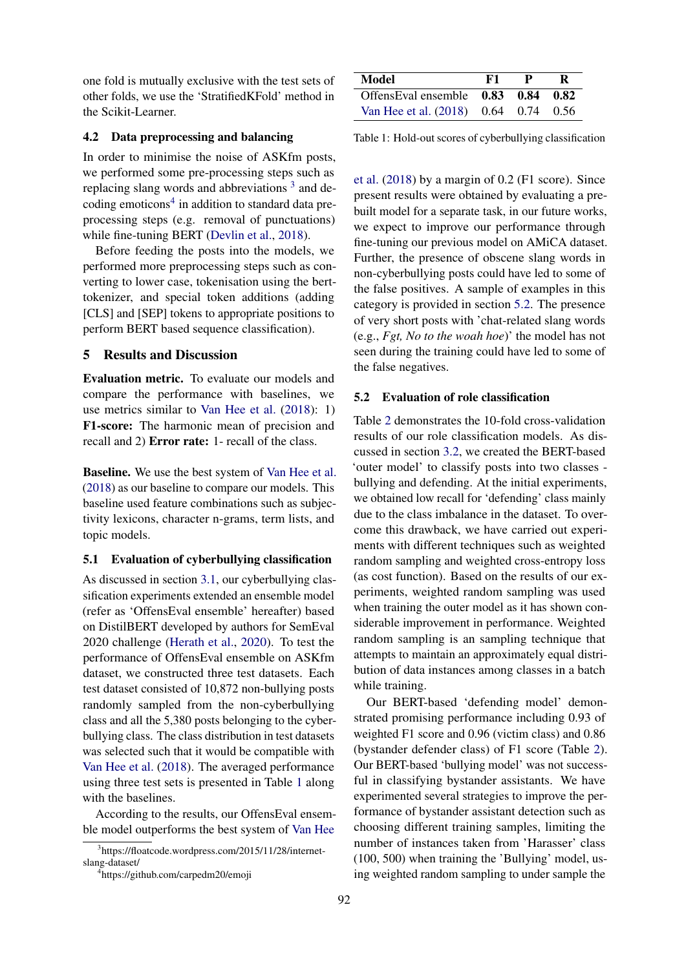one fold is mutually exclusive with the test sets of other folds, we use the 'StratifiedKFold' method in the Scikit-Learner.

#### 4.2 Data preprocessing and balancing

In order to minimise the noise of ASKfm posts, we performed some pre-processing steps such as replacing slang words and abbreviations<sup>[3](#page-3-1)</sup> and de-coding emoticons<sup>[4](#page-3-2)</sup> in addition to standard data preprocessing steps (e.g. removal of punctuations) while fine-tuning BERT [\(Devlin et al.,](#page-5-14) [2018\)](#page-5-14).

Before feeding the posts into the models, we performed more preprocessing steps such as converting to lower case, tokenisation using the berttokenizer, and special token additions (adding [CLS] and [SEP] tokens to appropriate positions to perform BERT based sequence classification).

## <span id="page-3-0"></span>5 Results and Discussion

Evaluation metric. To evaluate our models and compare the performance with baselines, we use metrics similar to [Van Hee et al.](#page-5-5) [\(2018\)](#page-5-5): 1) F1-score: The harmonic mean of precision and recall and 2) Error rate: 1- recall of the class.

Baseline. We use the best system of [Van Hee et al.](#page-5-5) [\(2018\)](#page-5-5) as our baseline to compare our models. This baseline used feature combinations such as subjectivity lexicons, character n-grams, term lists, and topic models.

# 5.1 Evaluation of cyberbullying classification

As discussed in section [3.1,](#page-1-0) our cyberbullying classification experiments extended an ensemble model (refer as 'OffensEval ensemble' hereafter) based on DistilBERT developed by authors for SemEval 2020 challenge [\(Herath et al.,](#page-5-11) [2020\)](#page-5-11). To test the performance of OffensEval ensemble on ASKfm dataset, we constructed three test datasets. Each test dataset consisted of 10,872 non-bullying posts randomly sampled from the non-cyberbullying class and all the 5,380 posts belonging to the cyberbullying class. The class distribution in test datasets was selected such that it would be compatible with [Van Hee et al.](#page-5-5) [\(2018\)](#page-5-5). The averaged performance using three test sets is presented in Table [1](#page-3-3) along with the baselines.

According to the results, our OffensEval ensemble model outperforms the best system of [Van Hee](#page-5-5)

<span id="page-3-3"></span>

| Model                                             | F1 |  |
|---------------------------------------------------|----|--|
| OffensEval ensemble $\,$ 0.83 $\,$ 0.84 $\,$ 0.82 |    |  |
| Van Hee et al. $(2018)$ 0.64 0.74 0.56            |    |  |

Table 1: Hold-out scores of cyberbullying classification

[et al.](#page-5-5) [\(2018\)](#page-5-5) by a margin of 0.2 (F1 score). Since present results were obtained by evaluating a prebuilt model for a separate task, in our future works, we expect to improve our performance through fine-tuning our previous model on AMiCA dataset. Further, the presence of obscene slang words in non-cyberbullying posts could have led to some of the false positives. A sample of examples in this category is provided in section [5.2.](#page-3-4) The presence of very short posts with 'chat-related slang words (e.g., *Fgt, No to the woah hoe*)' the model has not seen during the training could have led to some of the false negatives.

# <span id="page-3-4"></span>5.2 Evaluation of role classification

Table [2](#page-4-0) demonstrates the 10-fold cross-validation results of our role classification models. As discussed in section [3.2,](#page-1-1) we created the BERT-based 'outer model' to classify posts into two classes bullying and defending. At the initial experiments, we obtained low recall for 'defending' class mainly due to the class imbalance in the dataset. To overcome this drawback, we have carried out experiments with different techniques such as weighted random sampling and weighted cross-entropy loss (as cost function). Based on the results of our experiments, weighted random sampling was used when training the outer model as it has shown considerable improvement in performance. Weighted random sampling is an sampling technique that attempts to maintain an approximately equal distribution of data instances among classes in a batch while training.

Our BERT-based 'defending model' demonstrated promising performance including 0.93 of weighted F1 score and 0.96 (victim class) and 0.86 (bystander defender class) of F1 score (Table [2\)](#page-4-0). Our BERT-based 'bullying model' was not successful in classifying bystander assistants. We have experimented several strategies to improve the performance of bystander assistant detection such as choosing different training samples, limiting the number of instances taken from 'Harasser' class (100, 500) when training the 'Bullying' model, using weighted random sampling to under sample the

<span id="page-3-1"></span><sup>3</sup> [https://floatcode.wordpress.com/2015/11/28/internet](#page-5-5)[slang-dataset/](#page-5-5)

<span id="page-3-2"></span><sup>4</sup> [https://github.com/carpedm20/emoji](#page-5-5)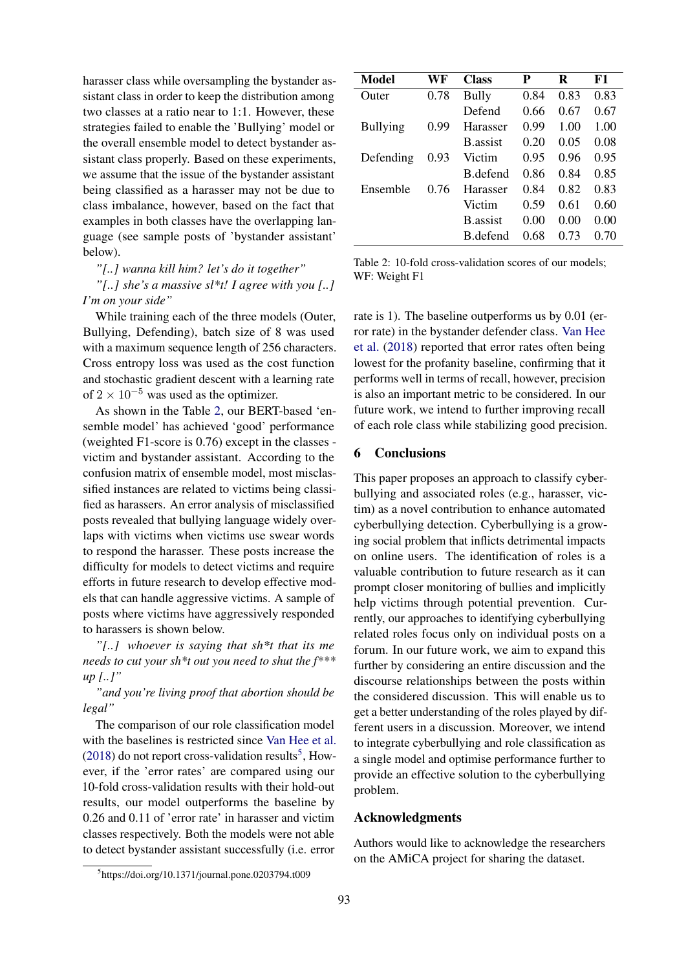harasser class while oversampling the bystander assistant class in order to keep the distribution among two classes at a ratio near to 1:1. However, these strategies failed to enable the 'Bullying' model or the overall ensemble model to detect bystander assistant class properly. Based on these experiments, we assume that the issue of the bystander assistant being classified as a harasser may not be due to class imbalance, however, based on the fact that examples in both classes have the overlapping language (see sample posts of 'bystander assistant' below).

*"[..] wanna kill him? let's do it together"*

*"[..] she's a massive sl\*t! I agree with you [..] I'm on your side"*

While training each of the three models (Outer, Bullying, Defending), batch size of 8 was used with a maximum sequence length of 256 characters. Cross entropy loss was used as the cost function and stochastic gradient descent with a learning rate of  $2 \times 10^{-5}$  was used as the optimizer.

As shown in the Table [2,](#page-4-0) our BERT-based 'ensemble model' has achieved 'good' performance (weighted F1-score is 0.76) except in the classes victim and bystander assistant. According to the confusion matrix of ensemble model, most misclassified instances are related to victims being classified as harassers. An error analysis of misclassified posts revealed that bullying language widely overlaps with victims when victims use swear words to respond the harasser. These posts increase the difficulty for models to detect victims and require efforts in future research to develop effective models that can handle aggressive victims. A sample of posts where victims have aggressively responded to harassers is shown below.

*"[..] whoever is saying that sh\*t that its me needs to cut your sh\*t out you need to shut the f\*\*\* up [..]"*

*"and you're living proof that abortion should be legal"*

The comparison of our role classification model with the baselines is restricted since [Van Hee et al.](#page-5-5)  $(2018)$  do not report cross-validation results<sup>[5](#page-4-1)</sup>, However, if the 'error rates' are compared using our 10-fold cross-validation results with their hold-out results, our model outperforms the baseline by 0.26 and 0.11 of 'error rate' in harasser and victim classes respectively. Both the models were not able to detect bystander assistant successfully (i.e. error

<span id="page-4-0"></span>

| Model           | WF   | <b>Class</b>     | P    | R    | F1   |
|-----------------|------|------------------|------|------|------|
| Outer           | 0.78 | Bully            | 0.84 | 0.83 | 0.83 |
|                 |      | Defend           | 0.66 | 0.67 | 0.67 |
| <b>Bullying</b> | 0.99 | Harasser         | 0.99 | 1.00 | 1.00 |
|                 |      | <b>B</b> assist  | 0.20 | 0.05 | 0.08 |
| Defending       | 0.93 | Victim           | 0.95 | 0.96 | 0.95 |
|                 |      | B defend         | 0.86 | 0.84 | 0.85 |
| Ensemble        | 0.76 | Harasser         | 0.84 | 0.82 | 0.83 |
|                 |      | Victim           | 0.59 | 0.61 | 0.60 |
|                 |      | <b>B</b> .assist | 0.00 | 0.00 | 0.00 |
|                 |      | B defend         | 0.68 | 0.73 | 0.70 |

Table 2: 10-fold cross-validation scores of our models; WF: Weight F1

rate is 1). The baseline outperforms us by 0.01 (error rate) in the bystander defender class. [Van Hee](#page-5-5) [et al.](#page-5-5) [\(2018\)](#page-5-5) reported that error rates often being lowest for the profanity baseline, confirming that it performs well in terms of recall, however, precision is also an important metric to be considered. In our future work, we intend to further improving recall of each role class while stabilizing good precision.

# 6 Conclusions

This paper proposes an approach to classify cyberbullying and associated roles (e.g., harasser, victim) as a novel contribution to enhance automated cyberbullying detection. Cyberbullying is a growing social problem that inflicts detrimental impacts on online users. The identification of roles is a valuable contribution to future research as it can prompt closer monitoring of bullies and implicitly help victims through potential prevention. Currently, our approaches to identifying cyberbullying related roles focus only on individual posts on a forum. In our future work, we aim to expand this further by considering an entire discussion and the discourse relationships between the posts within the considered discussion. This will enable us to get a better understanding of the roles played by different users in a discussion. Moreover, we intend to integrate cyberbullying and role classification as a single model and optimise performance further to provide an effective solution to the cyberbullying problem.

# Acknowledgments

Authors would like to acknowledge the researchers on the AMiCA project for sharing the dataset.

<span id="page-4-1"></span><sup>5</sup> https://doi.org/10.1371/journal.pone.0203794.t009